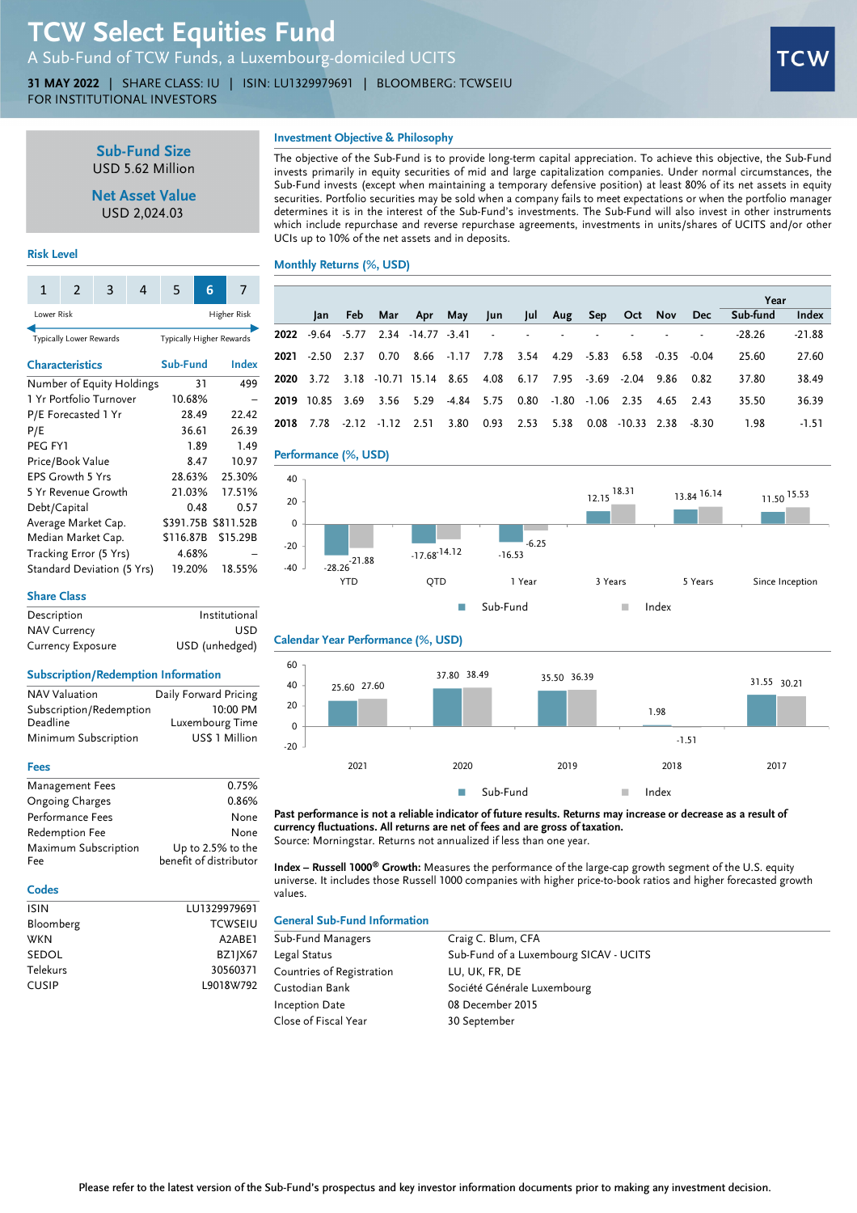# TCW Select Equities Fund

A Sub-Fund of TCW Funds, a Luxembourg-domiciled UCITS

31 MAY 2022 | SHARE CLASS: IU | ISIN: LU1329979691 | BLOOMBERG: TCWSEIU FOR INSTITUTIONAL INVESTORS



Sub-Fund Size USD 5.62 Million

Net Asset Value USD 2,024.03

# Investment Objective & Philosophy

The objective of the Sub-Fund is to provide long-term capital appreciation. To achieve this objective, the Sub-Fund invests primarily in equity securities of mid and large capitalization companies. Under normal circumstances, the Sub-Fund invests (except when maintaining a temporary defensive position) at least 80% of its net assets in equity securities. Portfolio securities may be sold when a company fails to meet expectations or when the portfolio manager determines it is in the interest of the Sub-Fund's investments. The Sub-Fund will also invest in other instruments which include repurchase and reverse repurchase agreements, investments in units/shares of UCITS and/or other UCIs up to 10% of the net assets and in deposits.

### Monthly Returns (%, USD)

| Ŧ                          | ∠                       | э                         | 4                        | ∍         | O         |       | , |  |
|----------------------------|-------------------------|---------------------------|--------------------------|-----------|-----------|-------|---|--|
| Lower Risk                 |                         |                           | Higher Risk              |           |           |       |   |  |
|                            | Typically Lower Rewards |                           | Typically Higher Rewards |           |           |       |   |  |
| <b>Characteristics</b>     |                         |                           | Sub-Fund                 |           |           | Index |   |  |
|                            |                         | Number of Equity Holdings |                          |           | 499<br>31 |       |   |  |
|                            |                         | 1 Yr Portfolio Turnover   | 10.68%                   |           |           |       |   |  |
|                            | P/E Forecasted 1 Yr     |                           |                          | 28.49     |           | 22.42 |   |  |
| P/E                        | 36.61                   |                           | 26.39                    |           |           |       |   |  |
| PEG FY1                    |                         |                           |                          | 1.89      | 1.49      |       |   |  |
|                            | Price/Book Value        |                           |                          | 8.47      |           | 10.97 |   |  |
| <b>EPS Growth 5 Yrs</b>    | 28.63%                  |                           |                          | 25.30%    |           |       |   |  |
| 5 Yr Revenue Growth        | 21.03%                  |                           |                          | 17.51%    |           |       |   |  |
| Debt/Capital               |                         | 0.48                      |                          | 0.57      |           |       |   |  |
| Average Market Cap.        | \$391.75B               |                           |                          | \$811.52B |           |       |   |  |
| Median Market Cap.         | \$116.87B               |                           |                          | \$15.29B  |           |       |   |  |
| Tracking Error (5 Yrs)     | 4.68%                   |                           |                          |           |           |       |   |  |
| Standard Deviation (5 Yrs) | 19.20%                  |                           |                          | 18.55%    |           |       |   |  |

|                    |                                           |  |  |  |                                                                       |  | Year                                                 |          |
|--------------------|-------------------------------------------|--|--|--|-----------------------------------------------------------------------|--|------------------------------------------------------|----------|
| lan l              |                                           |  |  |  |                                                                       |  | Feb Mar Apr May Jun Jul Aug Sep Oct Nov Dec Sub-fund | Index    |
|                    | <b>2022</b> -9.64 -5.77 2.34 -14.77 -3.41 |  |  |  |                                                                       |  | $-28.26$                                             | $-21.88$ |
| $2021 - 2.50$ 2.37 |                                           |  |  |  | 0.70 8.66 -1.17 7.78 3.54 4.29 -5.83 6.58 -0.35 -0.04                 |  | 25.60                                                | 27.60    |
|                    |                                           |  |  |  | 2020 3.72 3.18 10.71 15.14 8.65 4.08 6.17 7.95 -3.69 -2.04 9.86 0.82  |  | 37.80                                                | 38.49    |
|                    |                                           |  |  |  | 2019 10.85 3.69 3.56 5.29 -4.84 5.75 0.80 -1.80 -1.06 2.35 4.65 2.43  |  | 35.50                                                | 36.39    |
|                    |                                           |  |  |  | 2018 7.78 -2.12 -1.12 2.51 3.80 0.93 2.53 5.38 0.08 -10.33 2.38 -8.30 |  | 1.98                                                 | $-1.51$  |





# Share Class

Risk Level

1 2 3 4 5 6 7

| Description         | Institutional  |
|---------------------|----------------|
| <b>NAV Currency</b> | <b>USD</b>     |
| Currency Exposure   | USD (unhedged) |

#### Subscription/Redemption Information

| <b>NAV Valuation</b>    | Daily Forward Pricing |
|-------------------------|-----------------------|
| Subscription/Redemption | 10:00 PM              |
| Deadline                | Luxembourg Time       |
| Minimum Subscription    | US\$ 1 Million        |

#### Fees

| Management Fees      | 0.75%                  |
|----------------------|------------------------|
| Ongoing Charges      | 0.86%                  |
| Performance Fees     | None                   |
| Redemption Fee       | None                   |
| Maximum Subscription | Up to 2.5% to the      |
| Fee                  | benefit of distributor |

#### **Codes**

| ISIN         | LU1329979691        |
|--------------|---------------------|
| Bloomberg    | <b>TCWSEIU</b>      |
| <b>WKN</b>   | A <sub>2</sub> ARF1 |
| SEDOL        | BZ1JX67             |
| Telekurs     | 30560371            |
| <b>CUSIP</b> | L9018W792           |
|              |                     |

#### Calendar Year Performance (%, USD)



Past performance is not a reliable indicator of future results. Returns may increase or decrease as a result of currency fluctuations. All returns are net of fees and are gross of taxation. Source: Morningstar. Returns not annualized if less than one year.

Index - Russell 1000<sup>®</sup> Growth: Measures the performance of the large-cap growth segment of the U.S. equity universe. It includes those Russell 1000 companies with higher price-to-book ratios and higher forecasted growth values.

#### General Sub-Fund Information

| Sub-Fund Managers         | Craig C. Blum, CFA                     |
|---------------------------|----------------------------------------|
| Legal Status              | Sub-Fund of a Luxembourg SICAV - UCITS |
| Countries of Registration | LU, UK, FR, DE                         |
| Custodian Bank            | Société Générale Luxembourg            |
| <b>Inception Date</b>     | 08 December 2015                       |
| Close of Fiscal Year      | 30 September                           |
|                           |                                        |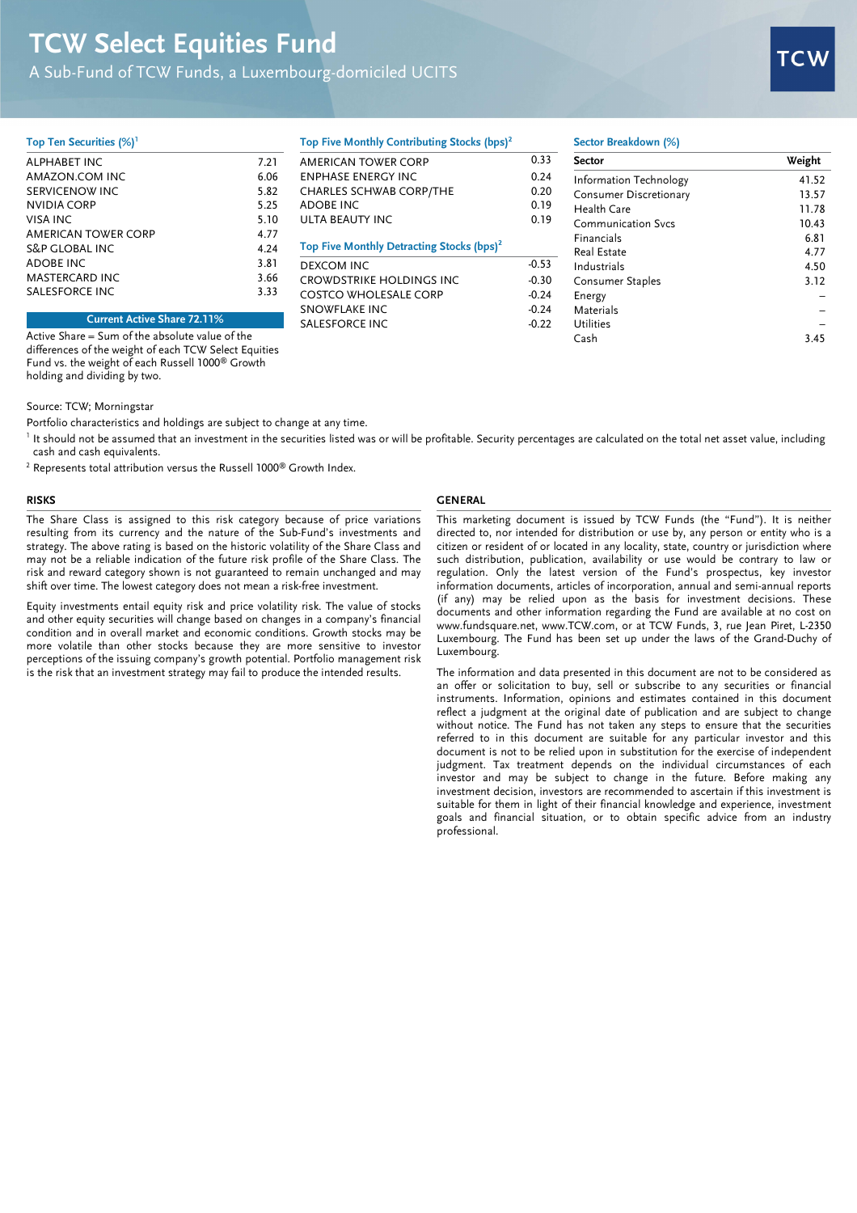# TCW Select Equities Fund

A Sub-Fund of TCW Funds, a Luxembourg-domiciled UCITS



#### Top Ten Securities (%)<sup>1</sup>

| ALPHABET INC              | 7.21 |
|---------------------------|------|
| AMAZON.COM INC            | 6.06 |
| SERVICENOW INC            | 5.82 |
| NVIDIA CORP               | 5.25 |
| VISA INC                  | 5.10 |
| AMERICAN TOWER CORP       | 4.77 |
| <b>S&amp;P GLOBAL INC</b> | 4.24 |
| ADOBE INC                 | 3.81 |
| <b>MASTERCARD INC</b>     | 3.66 |
| SALESFORCE INC            | 3.33 |
|                           |      |

AMERICAN TOWER CORP 0.33 ENPHASE ENERGY INC 0.24 CHARLES SCHWAB CORP/THE 0.20 ADOBE INC 0.19 ULTA BEAUTY INC 0.19 Top Five Monthly Detracting Stocks (bps)<sup>2</sup> DEXCOM INC<br>CROWDSTRIKE HOLDINGS INC -0.30 CROWDSTRIKE HOLDINGS INC. COSTCO WHOLESALE CORP -0.24 SNOWFLAKE INC -0.24

Top Five Monthly Contributing Stocks (bps)<sup>2</sup>

## Sector Breakdown (%)

| Sector                 | Weight |
|------------------------|--------|
| Information Technology | 41.52  |
| Consumer Discretionary | 13.57  |
| Health Care            | 11.78  |
| Communication Sycs     | 10.43  |
| Financials             | 6.81   |
| Real Estate            | 4.77   |
| Industrials            | 4.50   |
| Consumer Staples       | 3.12   |
| Energy                 |        |
| Materials              |        |
| <b>Utilities</b>       |        |
| Cash                   | 3.45   |

Current Active Share 72.11%

Active Share = Sum of the absolute value of the differences of the weight of each TCW Select Equities Fund vs. the weight of each Russell 1000® Growth holding and dividing by two.

#### Source: TCW; Morningstar

Portfolio characteristics and holdings are subject to change at any time.

<sup>1</sup> It should not be assumed that an investment in the securities listed was or will be profitable. Security percentages are calculated on the total net asset value, including cash and cash equivalents.

SALESFORCE INC<br>-0.22

 $2$  Represents total attribution versus the Russell 1000 $^{\circledR}$  Growth Index.

The Share Class is assigned to this risk category because of price variations resulting from its currency and the nature of the Sub-Fund's investments and strategy. The above rating is based on the historic volatility of the Share Class and may not be a reliable indication of the future risk profile of the Share Class. The risk and reward category shown is not guaranteed to remain unchanged and may shift over time. The lowest category does not mean a risk-free investment.

Equity investments entail equity risk and price volatility risk. The value of stocks and other equity securities will change based on changes in a company's financial condition and in overall market and economic conditions. Growth stocks may be more volatile than other stocks because they are more sensitive to investor perceptions of the issuing company's growth potential. Portfolio management risk is the risk that an investment strategy may fail to produce the intended results.

# RISKS GENERAL

This marketing document is issued by TCW Funds (the "Fund"). It is neither directed to, nor intended for distribution or use by, any person or entity who is a citizen or resident of or located in any locality, state, country or jurisdiction where such distribution, publication, availability or use would be contrary to law or regulation. Only the latest version of the Fund's prospectus, key investor information documents, articles of incorporation, annual and semi-annual reports (if any) may be relied upon as the basis for investment decisions. These documents and other information regarding the Fund are available at no cost on www.fundsquare.net, www.TCW.com, or at TCW Funds, 3, rue Jean Piret, L-2350 Luxembourg. The Fund has been set up under the laws of the Grand-Duchy of Luxembourg.

The information and data presented in this document are not to be considered as an offer or solicitation to buy, sell or subscribe to any securities or financial instruments. Information, opinions and estimates contained in this document reflect a judgment at the original date of publication and are subject to change without notice. The Fund has not taken any steps to ensure that the securities referred to in this document are suitable for any particular investor and this document is not to be relied upon in substitution for the exercise of independent judgment. Tax treatment depends on the individual circumstances of each investor and may be subject to change in the future. Before making any investment decision, investors are recommended to ascertain if this investment is suitable for them in light of their financial knowledge and experience, investment goals and financial situation, or to obtain specific advice from an industry professional.